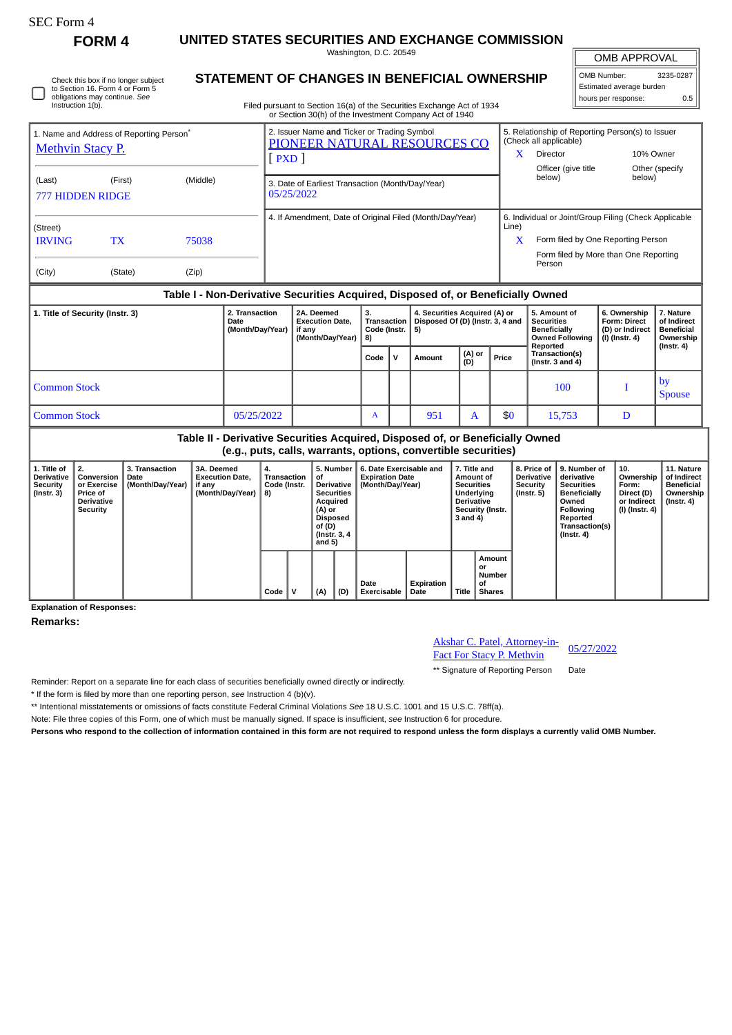## SEC Form 4

**FORM 4 UNITED STATES SECURITIES AND EXCHANGE COMMISSION** Washington, D.C. 20549

OMB APPROVAL

 $\mathbb{I}$ 

| OMB Number:              | 3235-0287 |  |  |  |  |  |  |  |
|--------------------------|-----------|--|--|--|--|--|--|--|
| Estimated average burden |           |  |  |  |  |  |  |  |
| hours per response:      | 0.5       |  |  |  |  |  |  |  |

Check this box if no longer subject to Section 16. Form 4 or Form 5 obligations may continue. *See* Instruction 1(b).

## **STATEMENT OF CHANGES IN BENEFICIAL OWNERSHIP**

Filed pursuant to Section 16(a) of the Securities Exchange Act of 1934 or Section 30(h) of the Investment Company Act of 1940

| 1. Name and Address of Reporting Person <sup>7</sup><br><b>Methvin Stacy P.</b> |                                                                                     |                                            |                                            |                                            | 2. Issuer Name and Ticker or Trading Symbol<br>PIONEER NATURAL RESOURCES CO<br>PXD |                                                                |                                                                                                                                           |                            |                                                                       |                    |                                                                                                                                                 |                                                                                                                             |                                        | $\mathbf{X}$                                                             |                                                                         | 5. Relationship of Reporting Person(s) to Issuer<br>(Check all applicable)<br>Director<br>Officer (give title                                  |                          | 10% Owner                                                                |                                                                           |
|---------------------------------------------------------------------------------|-------------------------------------------------------------------------------------|--------------------------------------------|--------------------------------------------|--------------------------------------------|------------------------------------------------------------------------------------|----------------------------------------------------------------|-------------------------------------------------------------------------------------------------------------------------------------------|----------------------------|-----------------------------------------------------------------------|--------------------|-------------------------------------------------------------------------------------------------------------------------------------------------|-----------------------------------------------------------------------------------------------------------------------------|----------------------------------------|--------------------------------------------------------------------------|-------------------------------------------------------------------------|------------------------------------------------------------------------------------------------------------------------------------------------|--------------------------|--------------------------------------------------------------------------|---------------------------------------------------------------------------|
| (Last)                                                                          | (First)<br>(Middle)<br><b>777 HIDDEN RIDGE</b>                                      |                                            |                                            |                                            |                                                                                    | 3. Date of Earliest Transaction (Month/Day/Year)<br>05/25/2022 |                                                                                                                                           |                            |                                                                       |                    |                                                                                                                                                 |                                                                                                                             |                                        |                                                                          | below)                                                                  |                                                                                                                                                | Other (specify<br>below) |                                                                          |                                                                           |
| (Street)                                                                        |                                                                                     |                                            |                                            |                                            |                                                                                    | 4. If Amendment, Date of Original Filed (Month/Day/Year)       |                                                                                                                                           |                            |                                                                       |                    |                                                                                                                                                 |                                                                                                                             |                                        | Line)                                                                    | 6. Individual or Joint/Group Filing (Check Applicable                   |                                                                                                                                                |                          |                                                                          |                                                                           |
| <b>IRVING</b><br>(City)                                                         | <b>TX</b>                                                                           | (State)                                    | 75038<br>(Zip)                             |                                            |                                                                                    |                                                                |                                                                                                                                           |                            |                                                                       |                    |                                                                                                                                                 |                                                                                                                             |                                        | $\mathbf{x}$                                                             | Person                                                                  | Form filed by One Reporting Person<br>Form filed by More than One Reporting                                                                    |                          |                                                                          |                                                                           |
|                                                                                 |                                                                                     |                                            |                                            |                                            |                                                                                    |                                                                |                                                                                                                                           |                            |                                                                       |                    | Table I - Non-Derivative Securities Acquired, Disposed of, or Beneficially Owned                                                                |                                                                                                                             |                                        |                                                                          |                                                                         |                                                                                                                                                |                          |                                                                          |                                                                           |
| 1. Title of Security (Instr. 3)                                                 |                                                                                     |                                            | 2. Transaction<br>Date<br>(Month/Day/Year) |                                            | 2A. Deemed<br><b>Execution Date,</b><br>if any<br>(Month/Day/Year)                 |                                                                | 3.<br>4. Securities Acquired (A) or<br><b>Transaction</b><br>Disposed Of (D) (Instr. 3, 4 and<br>Code (Instr.<br>5)<br>8)                 |                            |                                                                       |                    | <b>Securities</b><br><b>Beneficially</b>                                                                                                        |                                                                                                                             | 5. Amount of<br><b>Owned Following</b> | 6. Ownership<br><b>Form: Direct</b><br>(D) or Indirect<br>(I) (Instr. 4) |                                                                         | 7. Nature<br>of Indirect<br><b>Beneficial</b><br>Ownership                                                                                     |                          |                                                                          |                                                                           |
|                                                                                 |                                                                                     |                                            |                                            |                                            |                                                                                    |                                                                |                                                                                                                                           |                            | Code $\vert$ V                                                        |                    | Amount                                                                                                                                          | Reported<br>(A) or<br>Transaction(s)<br>Price<br>(D)<br>(Instr. $3$ and $4$ )                                               |                                        |                                                                          |                                                                         |                                                                                                                                                |                          |                                                                          | $($ lnstr. 4 $)$                                                          |
| <b>Common Stock</b>                                                             |                                                                                     |                                            |                                            |                                            |                                                                                    |                                                                |                                                                                                                                           |                            |                                                                       |                    |                                                                                                                                                 | by<br>100<br>T                                                                                                              |                                        |                                                                          |                                                                         |                                                                                                                                                | <b>Spouse</b>            |                                                                          |                                                                           |
| <b>Common Stock</b><br>05/25/2022                                               |                                                                                     |                                            |                                            |                                            |                                                                                    |                                                                |                                                                                                                                           | A                          |                                                                       | 951                | A                                                                                                                                               |                                                                                                                             | \$0                                    | 15,753                                                                   |                                                                         |                                                                                                                                                | D                        |                                                                          |                                                                           |
|                                                                                 |                                                                                     |                                            |                                            |                                            |                                                                                    |                                                                |                                                                                                                                           |                            |                                                                       |                    | Table II - Derivative Securities Acquired, Disposed of, or Beneficially Owned<br>(e.g., puts, calls, warrants, options, convertible securities) |                                                                                                                             |                                        |                                                                          |                                                                         |                                                                                                                                                |                          |                                                                          |                                                                           |
| 1. Title of<br><b>Derivative</b><br><b>Security</b><br>(Instr. 3)               | 2.<br>Conversion<br>or Exercise<br>Price of<br><b>Derivative</b><br><b>Security</b> | 3. Transaction<br>Date<br>(Month/Day/Year) | 3A. Deemed<br>if any                       | <b>Execution Date,</b><br>(Month/Day/Year) | 4.<br><b>Transaction</b><br>Code (Instr.<br>8)                                     |                                                                | 5. Number<br>of<br><b>Derivative</b><br><b>Securities</b><br>Acquired<br>(A) or<br><b>Disposed</b><br>of (D)<br>(Instr. 3, 4)<br>and $5)$ |                            | 6. Date Exercisable and<br><b>Expiration Date</b><br>(Month/Day/Year) |                    |                                                                                                                                                 | 7. Title and<br>Amount of<br><b>Securities</b><br>Underlying<br><b>Derivative</b><br>Security (Instr.<br>3 and 4)<br>Amount |                                        |                                                                          | 8. Price of<br><b>Derivative</b><br><b>Security</b><br>$($ Instr. 5 $)$ | 9. Number of<br>derivative<br><b>Securities</b><br><b>Beneficially</b><br>Owned<br>Following<br>Reported<br>Transaction(s)<br>$($ Instr. 4 $)$ |                          | 10.<br>Ownership<br>Form:<br>Direct (D)<br>or Indirect<br>(I) (Instr. 4) | 11. Nature<br>of Indirect<br><b>Beneficial</b><br>Ownership<br>(Instr. 4) |
|                                                                                 |                                                                                     |                                            |                                            |                                            | Code $ V $<br>(A)<br>(D)                                                           |                                                                |                                                                                                                                           | Date<br><b>Exercisable</b> |                                                                       | Expiration<br>Date |                                                                                                                                                 | or<br><b>Number</b><br>οf<br>Title   Shares                                                                                 |                                        |                                                                          |                                                                         |                                                                                                                                                |                          |                                                                          |                                                                           |

**Explanation of Responses:**

**Remarks:**

Akshar C. Patel, Attorney-in-Fact For Stacy P. Methyin 05/27/2022

\*\* Signature of Reporting Person Date

Reminder: Report on a separate line for each class of securities beneficially owned directly or indirectly.

\* If the form is filed by more than one reporting person, *see* Instruction 4 (b)(v).

\*\* Intentional misstatements or omissions of facts constitute Federal Criminal Violations *See* 18 U.S.C. 1001 and 15 U.S.C. 78ff(a).

**Code V (A) (D)**

Note: File three copies of this Form, one of which must be manually signed. If space is insufficient, *see* Instruction 6 for procedure.

**Persons who respond to the collection of information contained in this form are not required to respond unless the form displays a currently valid OMB Number.**